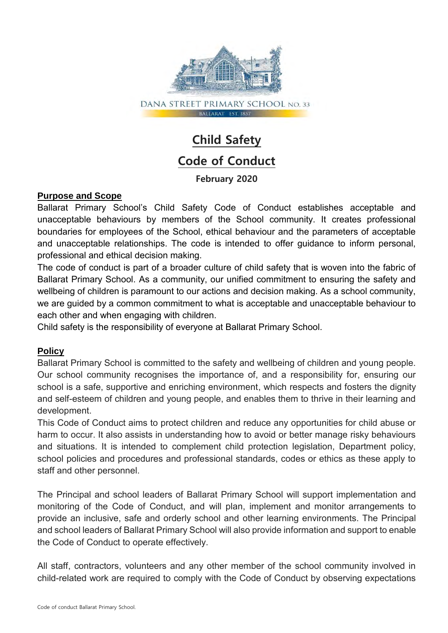

# **Child Safety Code of Conduct**

## **February 2020**

#### **Purpose and Scope**

Ballarat Primary School's Child Safety Code of Conduct establishes acceptable and unacceptable behaviours by members of the School community. It creates professional boundaries for employees of the School, ethical behaviour and the parameters of acceptable and unacceptable relationships. The code is intended to offer guidance to inform personal, professional and ethical decision making.

The code of conduct is part of a broader culture of child safety that is woven into the fabric of Ballarat Primary School. As a community, our unified commitment to ensuring the safety and wellbeing of children is paramount to our actions and decision making. As a school community, we are guided by a common commitment to what is acceptable and unacceptable behaviour to each other and when engaging with children.

Child safety is the responsibility of everyone at Ballarat Primary School.

#### **Policy**

Ballarat Primary School is committed to the safety and wellbeing of children and young people. Our school community recognises the importance of, and a responsibility for, ensuring our school is a safe, supportive and enriching environment, which respects and fosters the dignity and self-esteem of children and young people, and enables them to thrive in their learning and development.

This Code of Conduct aims to protect children and reduce any opportunities for child abuse or harm to occur. It also assists in understanding how to avoid or better manage risky behaviours and situations. It is intended to complement child protection legislation, Department policy, school policies and procedures and professional standards, codes or ethics as these apply to staff and other personnel.

The Principal and school leaders of Ballarat Primary School will support implementation and monitoring of the Code of Conduct, and will plan, implement and monitor arrangements to provide an inclusive, safe and orderly school and other learning environments. The Principal and school leaders of Ballarat Primary School will also provide information and support to enable the Code of Conduct to operate effectively.

All staff, contractors, volunteers and any other member of the school community involved in child-related work are required to comply with the Code of Conduct by observing expectations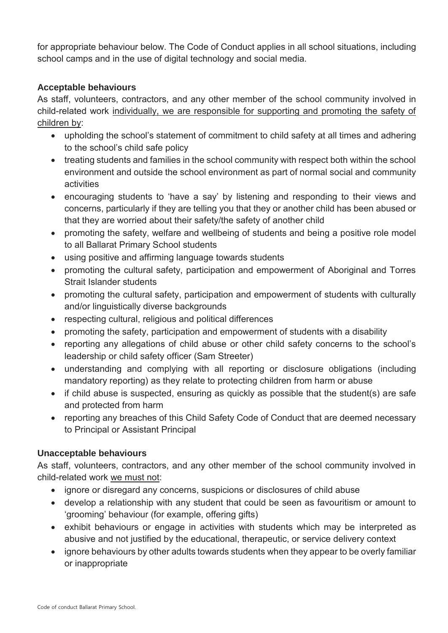for appropriate behaviour below. The Code of Conduct applies in all school situations, including school camps and in the use of digital technology and social media.

### **Acceptable behaviours**

As staff, volunteers, contractors, and any other member of the school community involved in child-related work individually, we are responsible for supporting and promoting the safety of children by:

- upholding the school's statement of commitment to child safety at all times and adhering to the school's child safe policy
- treating students and families in the school community with respect both within the school environment and outside the school environment as part of normal social and community activities
- encouraging students to 'have a say' by listening and responding to their views and concerns, particularly if they are telling you that they or another child has been abused or that they are worried about their safety/the safety of another child
- promoting the safety, welfare and wellbeing of students and being a positive role model to all Ballarat Primary School students
- using positive and affirming language towards students
- promoting the cultural safety, participation and empowerment of Aboriginal and Torres Strait Islander students
- promoting the cultural safety, participation and empowerment of students with culturally and/or linguistically diverse backgrounds
- respecting cultural, religious and political differences
- promoting the safety, participation and empowerment of students with a disability
- reporting any allegations of child abuse or other child safety concerns to the school's leadership or child safety officer (Sam Streeter)
- understanding and complying with all reporting or disclosure obligations (including mandatory reporting) as they relate to protecting children from harm or abuse
- if child abuse is suspected, ensuring as quickly as possible that the student(s) are safe and protected from harm
- reporting any breaches of this Child Safety Code of Conduct that are deemed necessary to Principal or Assistant Principal

#### **Unacceptable behaviours**

As staff, volunteers, contractors, and any other member of the school community involved in child-related work we must not:

- ignore or disregard any concerns, suspicions or disclosures of child abuse
- develop a relationship with any student that could be seen as favouritism or amount to 'grooming' behaviour (for example, offering gifts)
- exhibit behaviours or engage in activities with students which may be interpreted as abusive and not justified by the educational, therapeutic, or service delivery context
- ignore behaviours by other adults towards students when they appear to be overly familiar or inappropriate